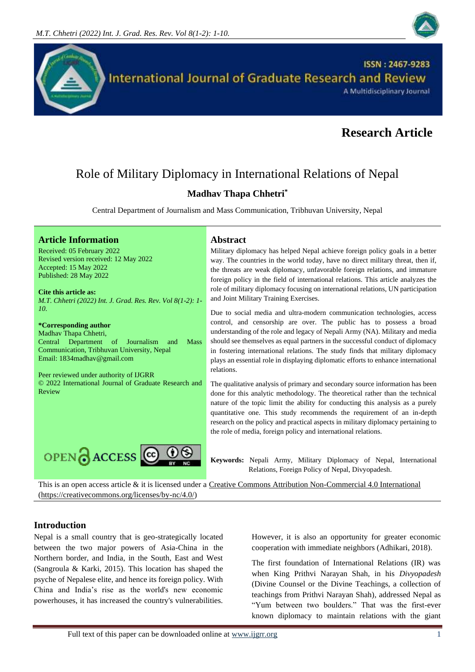



# **Research Article**

# Role of Military Diplomacy in International Relations of Nepal

# **Madhav Thapa Chhetri\***

Central Department of Journalism and Mass Communication, Tribhuvan University, Nepal

#### **Article Information Abstract**

Received: 05 February 2022 Revised version received: 12 May 2022 Accepted: 15 May 2022 Published: 28 May 2022

**Cite this article as:** *M.T. Chhetri (2022) Int. J. Grad. Res. Rev. Vol 8(1-2): 1- 10.* 

#### **\*Corresponding author**

Madhav Thapa Chhetri, Central Department of Journalism and Mass Communication, Tribhuvan University, Nepal Email: 1834madhav@gmail.com

Peer reviewed under authority of IJGRR © 2022 International Journal of Graduate Research and Review



Military diplomacy has helped Nepal achieve foreign policy goals in a better way. The countries in the world today, have no direct military threat, then if, the threats are weak diplomacy, unfavorable foreign relations, and immature foreign policy in the field of international relations. This article analyzes the role of military diplomacy focusing on international relations, UN participation and Joint Military Training Exercises.

Due to social media and ultra-modern communication technologies, access control, and censorship are over. The public has to possess a broad understanding of the role and legacy of Nepali Army (NA). Military and media should see themselves as equal partners in the successful conduct of diplomacy in fostering international relations. The study finds that military diplomacy plays an essential role in displaying diplomatic efforts to enhance international relations.

The qualitative analysis of primary and secondary source information has been done for this analytic methodology. The theoretical rather than the technical nature of the topic limit the ability for conducting this analysis as a purely quantitative one. This study recommends the requirement of an in-depth research on the policy and practical aspects in military diplomacy pertaining to the role of media, foreign policy and international relations.

**Keywords:** Nepali Army, Military Diplomacy of Nepal, International Relations, Foreign Policy of Nepal, Divyopadesh.

This is an open access article & it is licensed under a [Creative Commons Attribution Non-Commercial 4.0 International](https://creativecommons.org/licenses/by-nc/4.0/) [\(https://creativecommons.org/licenses/by-nc/4.0/\)](https://creativecommons.org/licenses/by-nc/4.0/)

# **Introduction**

Nepal is a small country that is geo-strategically located between the two major powers of Asia-China in the Northern border, and India, in the South, East and West (Sangroula & Karki, 2015). This location has shaped the psyche of Nepalese elite, and hence its foreign policy. With China and India's rise as the world's new economic powerhouses, it has increased the country's vulnerabilities.

However, it is also an opportunity for greater economic cooperation with immediate neighbors (Adhikari, 2018).

The first foundation of International Relations (IR) was when King Prithvi Narayan Shah, in his *Divyopadesh*  (Divine Counsel or the Divine Teachings, a collection of teachings from Prithvi Narayan Shah)*,* addressed Nepal as "Yum between two boulders." That was the first-ever known diplomacy to maintain relations with the giant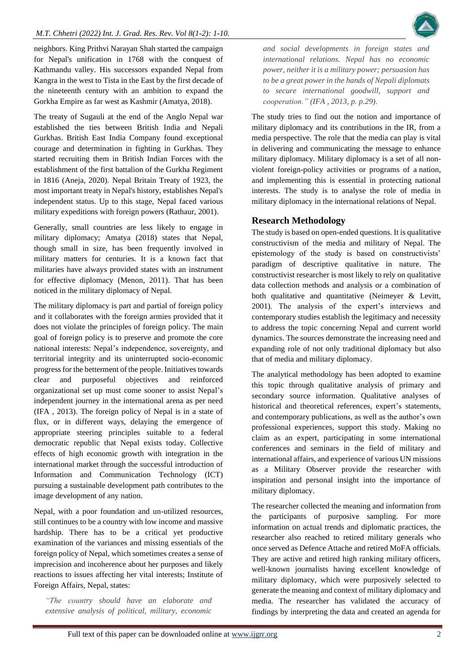neighbors. King Prithvi Narayan Shah started the campaign for Nepal's unification in 1768 with the conquest of Kathmandu valley. His successors expanded Nepal from Kangra in the west to Tista in the East by the first decade of the nineteenth century with an ambition to expand the Gorkha Empire as far west as Kashmir (Amatya, 2018).

The treaty of Sugauli at the end of the Anglo Nepal war established the ties between British India and Nepali Gurkhas. British East India Company found exceptional courage and determination in fighting in Gurkhas. They started recruiting them in British Indian Forces with the establishment of the first battalion of the Gurkha Regiment in 1816 (Aneja, 2020). Nepal Britain Treaty of 1923, the most important treaty in Nepal's history, establishes Nepal's independent status. Up to this stage, Nepal faced various military expeditions with foreign powers (Rathaur, 2001).

Generally, small countries are less likely to engage in military diplomacy; Amatya (2018) states that Nepal, though small in size, has been frequently involved in military matters for centuries. It is a known fact that militaries have always provided states with an instrument for effective diplomacy (Menon, 2011). That has been noticed in the military diplomacy of Nepal.

The military diplomacy is part and partial of foreign policy and it collaborates with the foreign armies provided that it does not violate the principles of foreign policy. The main goal of foreign policy is to preserve and promote the core national interests: Nepal's independence, sovereignty, and territorial integrity and its uninterrupted socio-economic progress for the betterment of the people. Initiatives towards clear and purposeful objectives and reinforced organizational set up must come sooner to assist Nepal's independent journey in the international arena as per need (IFA , 2013). The foreign policy of Nepal is in a state of flux, or in different ways, delaying the emergence of appropriate steering principles suitable to a federal democratic republic that Nepal exists today. Collective effects of high economic growth with integration in the international market through the successful introduction of Information and Communication Technology (ICT) pursuing a sustainable development path contributes to the image development of any nation.

Nepal, with a poor foundation and un-utilized resources, still continues to be a country with low income and massive hardship. There has to be a critical yet productive examination of the variances and missing essentials of the foreign policy of Nepal, which sometimes creates a sense of imprecision and incoherence about her purposes and likely reactions to issues affecting her vital interests; Institute of Foreign Affairs, Nepal, states:

*"The country should have an elaborate and extensive analysis of political, military, economic* 

*and social developments in foreign states and international relations. Nepal has no economic power, neither it is a military power; persuasion has to be a great power in the hands of Nepali diplomats to secure international goodwill, support and cooperation." (IFA , 2013, p. p.29).*

The study tries to find out the notion and importance of military diplomacy and its contributions in the IR, from a media perspective. The role that the media can play is vital in delivering and communicating the message to enhance military diplomacy. Military diplomacy is a set of all nonviolent foreign-policy activities or programs of a nation, and implementing this is essential in protecting national interests. The study is to analyse the role of media in military diplomacy in the international relations of Nepal.

# **Research Methodology**

The study is based on open-ended questions. It is qualitative constructivism of the media and military of Nepal. The epistemology of the study is based on constructivists' paradigm of descriptive qualitative in nature. The constructivist researcher is most likely to rely on qualitative data collection methods and analysis or a combination of both qualitative and quantitative (Neimeyer & Levitt, 2001). The analysis of the expert's interviews and contemporary studies establish the legitimacy and necessity to address the topic concerning Nepal and current world dynamics. The sources demonstrate the increasing need and expanding role of not only traditional diplomacy but also that of media and military diplomacy.

The analytical methodology has been adopted to examine this topic through qualitative analysis of primary and secondary source information. Qualitative analyses of historical and theoretical references, expert's statements, and contemporary publications, as well as the author's own professional experiences, support this study. Making no claim as an expert, participating in some international conferences and seminars in the field of military and international affairs, and experience of various UN missions as a Military Observer provide the researcher with inspiration and personal insight into the importance of military diplomacy.

The researcher collected the meaning and information from the participants of purposive sampling. For more information on actual trends and diplomatic practices, the researcher also reached to retired military generals who once served as Defence Attache and retired MoFA officials. They are active and retired high ranking military officers, well-known journalists having excellent knowledge of military diplomacy, which were purposively selected to generate the meaning and context of military diplomacy and media. The researcher has validated the accuracy of findings by interpreting the data and created an agenda for

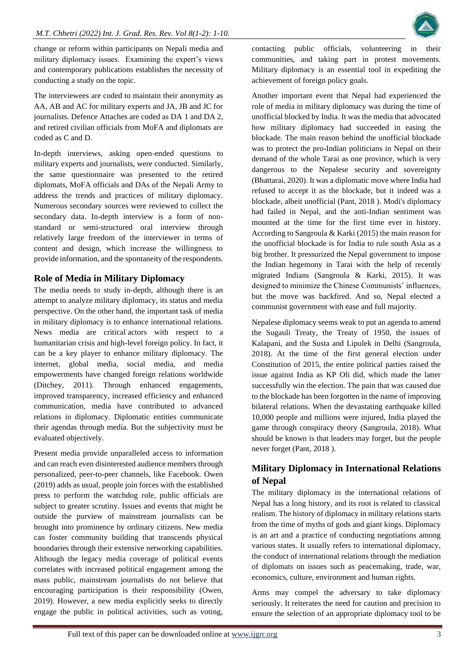

change or reform within participants on Nepali media and military diplomacy issues. Examining the expert's views and contemporary publications establishes the necessity of conducting a study on the topic.

The interviewees are coded to maintain their anonymity as AA, AB and AC for military experts and JA, JB and JC for journalists. Defence Attaches are coded as DA 1 and DA 2, and retired civilian officials from MoFA and diplomats are coded as C and D.

In-depth interviews, asking open-ended questions to military experts and journalists, were conducted. Similarly, the same questionnaire was presented to the retired diplomats, MoFA officials and DAs of the Nepali Army to address the trends and practices of military diplomacy. Numerous secondary sources were reviewed to collect the secondary data. In-depth interview is a form of nonstandard or semi-structured oral interview through relatively large freedom of the interviewer in terms of content and design, which increase the willingness to provide information, and the spontaneity of the respondents.

# **Role of Media in Military Diplomacy**

The media needs to study in-depth, although there is an attempt to analyze military diplomacy, its status and media perspective. On the other hand, the important task of media in military diplomacy is to enhance international relations. News media are critical actors with respect to a humanitarian crisis and high-level foreign policy. In fact, it can be a key player to enhance military diplomacy. The internet, global media, social media, and media empowerments have changed foreign relations worldwide (Ditchey, 2011). Through enhanced engagements, improved transparency, increased efficiency and enhanced communication, media have contributed to advanced relations in diplomacy. Diplomatic entities communicate their agendas through media. But the subjectivity must be evaluated objectively.

Present media provide unparalleled access to information and can reach even disinterested audience members through personalized, peer-to-peer channels, like Facebook. Owen (2019) adds as usual, people join forces with the established press to perform the watchdog role, public officials are subject to greater scrutiny. Issues and events that might be outside the purview of mainstream journalists can be brought into prominence by ordinary citizens. New media can foster community building that transcends physical boundaries through their extensive networking capabilities. Although the legacy media coverage of political events correlates with increased political engagement among the mass public, mainstream journalists do not believe that encouraging participation is their responsibility (Owen, 2019). However, a new media explicitly seeks to directly engage the public in political activities, such as voting, contacting public officials, volunteering in their communities, and taking part in protest movements. Military diplomacy is an essential tool in expediting the achievement of foreign policy goals.

Another important event that Nepal had experienced the role of media in military diplomacy was during the time of unofficial blocked by India. It was the media that advocated how military diplomacy had succeeded in easing the blockade. The main reason behind the unofficial blockade was to protect the pro-Indian politicians in Nepal on their demand of the whole Tarai as one province, which is very dangerous to the Nepalese security and sovereignty (Bhattarai, 2020). It was a diplomatic move where India had refused to accept it as the blockade, but it indeed was a blockade, albeit unofficial (Pant, 2018 ). Modi's diplomacy had failed in Nepal, and the anti-Indian sentiment was mounted at the time for the first time ever in history. According to Sangroula & Karki (2015) the main reason for the unofficial blockade is for India to rule south Asia as a big brother. It pressurized the Nepal government to impose the Indian hegemony in Tarai with the help of recently migrated Indians (Sangroula & Karki, 2015). It was designed to minimize the Chinese Communists' influences, but the move was backfired. And so, Nepal elected a communist government with ease and full majority.

Nepalese diplomacy seems weak to put an agenda to amend the Sugauli Treaty, the Treaty of 1950, the issues of Kalapani, and the Susta and Lipulek in Delhi (Sangroula, 2018). At the time of the first general election under Constitution of 2015, the entire political parties raised the issue against India as KP Oli did, which made the latter successfully win the election. The pain that was caused due to the blockade has been forgotten in the name of improving bilateral relations. When the devastating earthquake killed 10,000 people and millions were injured, India played the game through conspiracy theory (Sangroula, 2018). What should be known is that leaders may forget, but the people never forget (Pant, 2018 ).

# **Military Diplomacy in International Relations of Nepal**

The military diplomacy in the international relations of Nepal has a long history, and its root is related to classical realism. The history of diplomacy in military relations starts from the time of myths of gods and giant kings. Diplomacy is an art and a practice of conducting negotiations among various states. It usually refers to international diplomacy, the conduct of international relations through the mediation of diplomats on issues such as peacemaking, trade, war, economics, culture, environment and human rights.

Arms may compel the adversary to take diplomacy seriously. It reiterates the need for caution and precision to ensure the selection of an appropriate diplomacy tool to be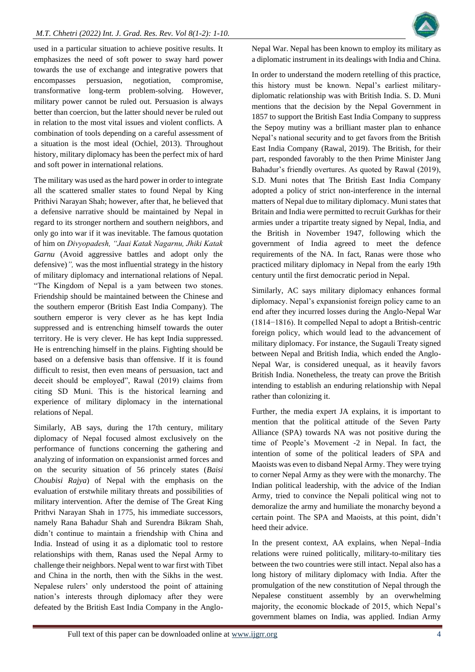used in a particular situation to achieve positive results. It emphasizes the need of soft power to sway hard power towards the use of exchange and integrative powers that encompasses persuasion, negotiation, compromise, transformative long-term problem-solving. However, military power cannot be ruled out. Persuasion is always better than coercion, but the latter should never be ruled out in relation to the most vital issues and violent conflicts. A combination of tools depending on a careful assessment of a situation is the most ideal (Ochiel, 2013). Throughout history, military diplomacy has been the perfect mix of hard and soft power in international relations.

The military was used as the hard power in order to integrate all the scattered smaller states to found Nepal by King Prithivi Narayan Shah; however, after that, he believed that a defensive narrative should be maintained by Nepal in regard to its stronger northern and southern neighbors, and only go into war if it was inevitable. The famous quotation of him on *Divyopadesh, "Jaai Katak Nagarnu, Jhiki Katak Garnu* (Avoid aggressive battles and adopt only the defensive)*",* was the most influential strategy in the history of military diplomacy and international relations of Nepal. "The Kingdom of Nepal is a yam between two stones. Friendship should be maintained between the Chinese and the southern emperor (British East India Company). The southern emperor is very clever as he has kept India suppressed and is entrenching himself towards the outer territory. He is very clever. He has kept India suppressed. He is entrenching himself in the plains. Fighting should be based on a defensive basis than offensive. If it is found difficult to resist, then even means of persuasion, tact and deceit should be employed", Rawal (2019) claims from citing SD Muni. This is the historical learning and experience of military diplomacy in the international relations of Nepal.

Similarly, AB says, during the 17th century, military diplomacy of Nepal focused almost exclusively on the performance of functions concerning the gathering and analyzing of information on expansionist armed forces and on the security situation of 56 princely states (*Baisi Choubisi Rajya*) of Nepal with the emphasis on the evaluation of erstwhile military threats and possibilities of military intervention. After the demise of The Great King Prithvi Narayan Shah in 1775, his immediate successors, namely Rana Bahadur Shah and Surendra Bikram Shah, didn't continue to maintain a friendship with China and India. Instead of using it as a diplomatic tool to restore relationships with them, Ranas used the Nepal Army to challenge their neighbors. Nepal went to war first with Tibet and China in the north, then with the Sikhs in the west. Nepalese rulers' only understood the point of attaining nation's interests through diplomacy after they were defeated by the British East India Company in the AngloNepal War. Nepal has been known to employ its military as a diplomatic instrument in its dealings with India and China.

In order to understand the modern retelling of this practice, this history must be known. Nepal's earliest militarydiplomatic relationship was with British India. S. D. Muni mentions that the decision by the Nepal Government in 1857 to support the British East India Company to suppress the Sepoy mutiny was a brilliant master plan to enhance Nepal's national security and to get favors from the British East India Company (Rawal, 2019). The British, for their part, responded favorably to the then Prime Minister Jang Bahadur's friendly overtures. As quoted by Rawal (2019), S.D. Muni notes that The British East India Company adopted a policy of strict non-interference in the internal matters of Nepal due to military diplomacy. Muni states that Britain and India were permitted to recruit Gurkhas for their armies under a tripartite treaty signed by Nepal, India, and the British in November 1947, following which the government of India agreed to meet the defence requirements of the NA. In fact, Ranas were those who practiced military diplomacy in Nepal from the early 19th century until the first democratic period in Nepal.

Similarly, AC says military diplomacy enhances formal diplomacy. Nepal's expansionist foreign policy came to an end after they incurred losses during the Anglo-Nepal War (1814−1816). It compelled Nepal to adopt a British-centric foreign policy, which would lead to the advancement of military diplomacy. For instance, the Sugauli Treaty signed between Nepal and British India, which ended the Anglo-Nepal War, is considered unequal, as it heavily favors British India. Nonetheless, the treaty can prove the British intending to establish an enduring relationship with Nepal rather than colonizing it.

Further, the media expert JA explains, it is important to mention that the political attitude of the Seven Party Alliance (SPA) towards NA was not positive during the time of People's Movement -2 in Nepal. In fact, the intention of some of the political leaders of SPA and Maoists was even to disband Nepal Army. They were trying to corner Nepal Army as they were with the monarchy. The Indian political leadership, with the advice of the Indian Army, tried to convince the Nepali political wing not to demoralize the army and humiliate the monarchy beyond a certain point. The SPA and Maoists, at this point, didn't heed their advice.

In the present context, AA explains, when Nepal–India relations were ruined politically, military-to-military ties between the two countries were still intact. Nepal also has a long history of military diplomacy with India. After the promulgation of the new constitution of Nepal through the Nepalese constituent assembly by an overwhelming majority, the economic blockade of 2015, which Nepal's government blames on India, was applied. Indian Army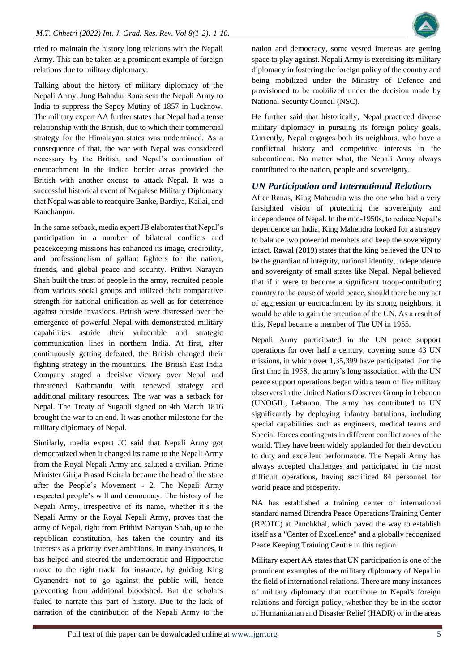

tried to maintain the history long relations with the Nepali Army. This can be taken as a prominent example of foreign relations due to military diplomacy.

Talking about the history of military diplomacy of the Nepali Army, Jung Bahadur Rana sent the Nepali Army to India to suppress the Sepoy Mutiny of 1857 in Lucknow. The military expert AA further states that Nepal had a tense relationship with the British, due to which their commercial strategy for the Himalayan states was undermined. As a consequence of that, the war with Nepal was considered necessary by the British, and Nepal's continuation of encroachment in the Indian border areas provided the British with another excuse to attack Nepal. It was a successful historical event of Nepalese Military Diplomacy that Nepal was able to reacquire Banke, Bardiya, Kailai, and Kanchanpur.

In the same setback, media expert JB elaborates that Nepal's participation in a number of bilateral conflicts and peacekeeping missions has enhanced its image, credibility, and professionalism of gallant fighters for the nation, friends, and global peace and security. Prithvi Narayan Shah built the trust of people in the army, recruited people from various social groups and utilized their comparative strength for national unification as well as for deterrence against outside invasions. British were distressed over the emergence of powerful Nepal with demonstrated military capabilities astride their vulnerable and strategic communication lines in northern India. At first, after continuously getting defeated, the British changed their fighting strategy in the mountains. The British East India Company staged a decisive victory over Nepal and threatened Kathmandu with renewed strategy and additional military resources. The war was a setback for Nepal. The Treaty of Sugauli signed on 4th March 1816 brought the war to an end. It was another milestone for the military diplomacy of Nepal.

Similarly, media expert JC said that Nepali Army got democratized when it changed its name to the Nepali Army from the Royal Nepali Army and saluted a civilian. Prime Minister Girija Prasad Koirala became the head of the state after the People's Movement - 2. The Nepali Army respected people's will and democracy. The history of the Nepali Army, irrespective of its name, whether it's the Nepali Army or the Royal Nepali Army, proves that the army of Nepal, right from Prithivi Narayan Shah, up to the republican constitution, has taken the country and its interests as a priority over ambitions. In many instances, it has helped and steered the undemocratic and Hippocratic move to the right track; for instance, by guiding King Gyanendra not to go against the public will, hence preventing from additional bloodshed. But the scholars failed to narrate this part of history. Due to the lack of narration of the contribution of the Nepali Army to the

nation and democracy, some vested interests are getting space to play against. Nepali Army is exercising its military diplomacy in fostering the foreign policy of the country and being mobilized under the Ministry of Defence and provisioned to be mobilized under the decision made by National Security Council (NSC).

He further said that historically, Nepal practiced diverse military diplomacy in pursuing its foreign policy goals. Currently, Nepal engages both its neighbors, who have a conflictual history and competitive interests in the subcontinent. No matter what, the Nepali Army always contributed to the nation, people and sovereignty.

# *UN Participation and International Relations*

After Ranas, King Mahendra was the one who had a very farsighted vision of protecting the sovereignty and independence of Nepal. In the mid-1950s, to reduce Nepal's dependence on India, King Mahendra looked for a strategy to balance two powerful members and keep the sovereignty intact. Rawal (2019) states that the king believed the UN to be the guardian of integrity, national identity, independence and sovereignty of small states like Nepal. Nepal believed that if it were to become a significant troop-contributing country to the cause of world peace, should there be any act of aggression or encroachment by its strong neighbors, it would be able to gain the attention of the UN. As a result of this, Nepal became a member of The UN in 1955*.*

Nepali Army participated in the UN peace support operations for over half a century, covering some 43 UN missions, in which over 1,35,399 have participated. For the first time in 1958, the army's long association with the UN peace support operations began with a team of five military observers in the United Nations Observer Group in Lebanon (UNOGIL, Lebanon. The army has contributed to UN significantly by deploying infantry battalions, including special capabilities such as engineers, medical teams and Special Forces contingents in different conflict zones of the world. They have been widely applauded for their devotion to duty and excellent performance. The Nepali Army has always accepted challenges and participated in the most difficult operations, having sacrificed 84 personnel for world peace and prosperity.

NA has established a training center of international standard named Birendra Peace Operations Training Center (BPOTC) at Panchkhal, which paved the way to establish itself as a "Center of Excellence" and a globally recognized Peace Keeping Training Centre in this region.

Military expert AA states that UN participation is one of the prominent examples of the military diplomacy of Nepal in the field of international relations. There are many instances of military diplomacy that contribute to Nepal's foreign relations and foreign policy, whether they be in the sector of Humanitarian and Disaster Relief (HADR) or in the areas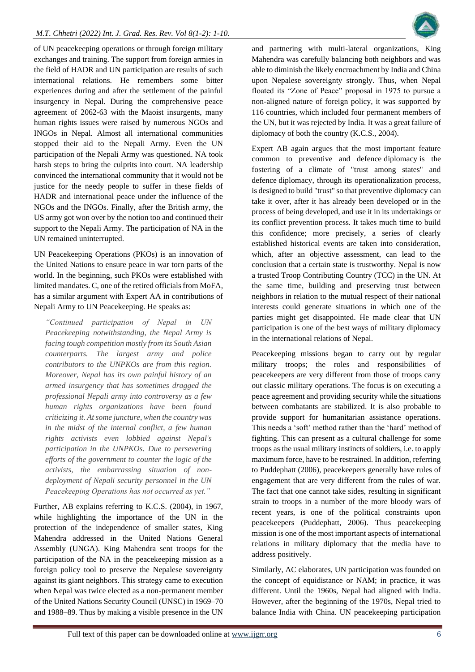of UN peacekeeping operations or through foreign military exchanges and training. The support from foreign armies in the field of HADR and UN participation are results of such international relations. He remembers some bitter experiences during and after the settlement of the painful insurgency in Nepal. During the comprehensive peace agreement of 2062-63 with the Maoist insurgents, many human rights issues were raised by numerous NGOs and INGOs in Nepal. Almost all international communities stopped their aid to the Nepali Army. Even the UN participation of the Nepali Army was questioned. NA took harsh steps to bring the culprits into court. NA leadership convinced the international community that it would not be justice for the needy people to suffer in these fields of HADR and international peace under the influence of the NGOs and the INGOs. Finally, after the British army, the US army got won over by the notion too and continued their support to the Nepali Army. The participation of NA in the UN remained uninterrupted.

UN Peacekeeping Operations (PKOs) is an innovation of the United Nations to ensure peace in war torn parts of the world. In the beginning, such PKOs were established with limited mandates. C, one of the retired officials from MoFA, has a similar argument with Expert AA in contributions of Nepali Army to UN Peacekeeping. He speaks as:

*"Continued participation of Nepal in UN Peacekeeping notwithstanding, the Nepal Army is facing tough competition mostly from its South Asian counterparts. The largest army and police contributors to the UNPKOs are from this region. Moreover, Nepal has its own painful history of an armed insurgency that has sometimes dragged the professional Nepali army into controversy as a few human rights organizations have been found criticizing it. At some juncture, when the country was in the midst of the internal conflict, a few human rights activists even lobbied against Nepal's participation in the UNPKOs. Due to persevering efforts of the government to counter the logic of the activists, the embarrassing situation of nondeployment of Nepali security personnel in the UN Peacekeeping Operations has not occurred as yet."*

Further, AB explains referring to K.C.S. (2004), in 1967, while highlighting the importance of the UN in the protection of the independence of smaller states, King Mahendra addressed in the United Nations General Assembly (UNGA). King Mahendra sent troops for the participation of the NA in the peacekeeping mission as a foreign policy tool to preserve the Nepalese sovereignty against its giant neighbors. This strategy came to execution when Nepal was twice elected as a non-permanent member of the United Nations Security Council (UNSC) in 1969–70 and 1988–89. Thus by making a visible presence in the UN



and partnering with multi-lateral organizations, King Mahendra was carefully balancing both neighbors and was able to diminish the likely encroachment by India and China upon Nepalese sovereignty strongly. Thus, when Nepal floated its "Zone of Peace" proposal in 1975 to pursue a non-aligned nature of foreign policy, it was supported by 116 countries, which included four permanent members of the UN, but it was rejected by India. It was a great failure of diplomacy of both the country (K.C.S., 2004).

Expert AB again argues that the most important feature common to preventive and defence diplomacy is the fostering of a climate of "trust among states" and defence diplomacy, through its operationalization process, is designed to build "trust" so that preventive diplomacy can take it over, after it has already been developed or in the process of being developed, and use it in its undertakings or its conflict prevention process. It takes much time to build this confidence; more precisely, a series of clearly established historical events are taken into consideration, which, after an objective assessment, can lead to the conclusion that a certain state is trustworthy. Nepal is now a trusted Troop Contributing Country (TCC) in the UN. At the same time, building and preserving trust between neighbors in relation to the mutual respect of their national interests could generate situations in which one of the parties might get disappointed. He made clear that UN participation is one of the best ways of military diplomacy in the international relations of Nepal.

Peacekeeping missions began to carry out by regular military troops; the roles and responsibilities of peacekeepers are very different from those of troops carry out classic military operations. The focus is on executing a peace agreement and providing security while the situations between combatants are stabilized. It is also probable to provide support for humanitarian assistance operations. This needs a 'soft' method rather than the 'hard' method of fighting. This can present as a cultural challenge for some troops as the usual military instincts of soldiers, i.e. to apply maximum force, have to be restrained. In addition, referring to Puddephatt (2006), peacekeepers generally have rules of engagement that are very different from the rules of war. The fact that one cannot take sides, resulting in significant strain to troops in a number of the more bloody wars of recent years, is one of the political constraints upon peacekeepers (Puddephatt, 2006). Thus peacekeeping mission is one of the most important aspects of international relations in military diplomacy that the media have to address positively.

Similarly, AC elaborates, UN participation was founded on the concept of equidistance or NAM; in practice, it was different. Until the 1960s, Nepal had aligned with India. However, after the beginning of the 1970s, Nepal tried to balance India with China. UN peacekeeping participation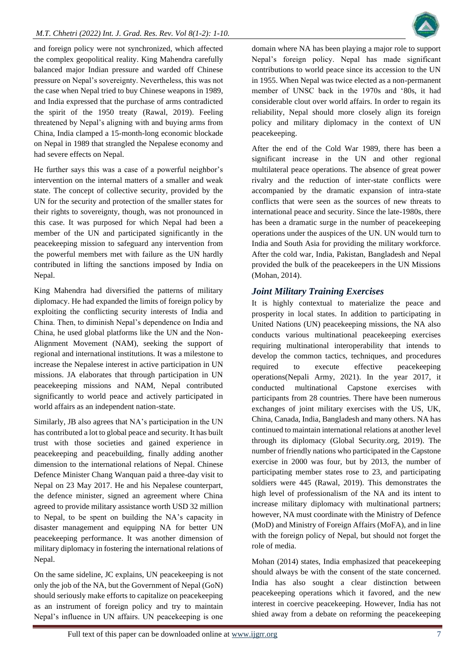and foreign policy were not synchronized, which affected the complex geopolitical reality. King Mahendra carefully balanced major Indian pressure and warded off Chinese pressure on Nepal's sovereignty. Nevertheless, this was not the case when Nepal tried to buy Chinese weapons in 1989, and India expressed that the purchase of arms contradicted the spirit of the 1950 treaty (Rawal, 2019). Feeling threatened by Nepal's aligning with and buying arms from China, India clamped a 15-month-long economic blockade on Nepal in 1989 that strangled the Nepalese economy and had severe effects on Nepal.

He further says this was a case of a powerful neighbor's intervention on the internal matters of a smaller and weak state. The concept of collective security, provided by the UN for the security and protection of the smaller states for their rights to sovereignty, though, was not pronounced in this case. It was purposed for which Nepal had been a member of the UN and participated significantly in the peacekeeping mission to safeguard any intervention from the powerful members met with failure as the UN hardly contributed in lifting the sanctions imposed by India on Nepal.

King Mahendra had diversified the patterns of military diplomacy. He had expanded the limits of foreign policy by exploiting the conflicting security interests of India and China. Then, to diminish Nepal's dependence on India and China, he used global platforms like the UN and the Non-Alignment Movement (NAM), seeking the support of regional and international institutions. It was a milestone to increase the Nepalese interest in active participation in UN missions. JA elaborates that through participation in UN peacekeeping missions and NAM, Nepal contributed significantly to world peace and actively participated in world affairs as an independent nation-state.

Similarly, JB also agrees that NA's participation in the UN has contributed a lot to global peace and security. It has built trust with those societies and gained experience in peacekeeping and peacebuilding, finally adding another dimension to the international relations of Nepal. Chinese Defence Minister Chang Wanquan paid a three-day visit to Nepal on 23 May 2017. He and his Nepalese counterpart, the defence minister, signed an agreement where China agreed to provide military assistance worth USD 32 million to Nepal, to be spent on building the NA's capacity in disaster management and equipping NA for better UN peacekeeping performance. It was another dimension of military diplomacy in fostering the international relations of Nepal.

On the same sideline, JC explains, UN peacekeeping is not only the job of the NA, but the Government of Nepal (GoN) should seriously make efforts to capitalize on peacekeeping as an instrument of foreign policy and try to maintain Nepal's influence in UN affairs. UN peacekeeping is one

domain where NA has been playing a major role to support Nepal's foreign policy. Nepal has made significant contributions to world peace since its accession to the UN in 1955. When Nepal was twice elected as a non-permanent member of UNSC back in the 1970s and '80s, it had considerable clout over world affairs. In order to regain its reliability, Nepal should more closely align its foreign policy and military diplomacy in the context of UN peacekeeping.

After the end of the Cold War 1989, there has been a significant increase in the UN and other regional multilateral peace operations. The absence of great power rivalry and the reduction of inter-state conflicts were accompanied by the dramatic expansion of intra-state conflicts that were seen as the sources of new threats to international peace and security. Since the late-1980s, there has been a dramatic surge in the number of peacekeeping operations under the auspices of the UN. UN would turn to India and South Asia for providing the military workforce. After the cold war, India, Pakistan, Bangladesh and Nepal provided the bulk of the peacekeepers in the UN Missions (Mohan, 2014).

# *Joint Military Training Exercises*

It is highly contextual to materialize the peace and prosperity in local states. In addition to participating in United Nations (UN) peacekeeping missions, the NA also conducts various multinational peacekeeping exercises requiring multinational interoperability that intends to develop the common tactics, techniques, and procedures required to execute effective peacekeeping operations(Nepali Army, 2021). In the year 2017, it conducted multinational Capstone exercises with participants from 28 countries. There have been numerous exchanges of joint military exercises with the US, UK, China, Canada, India, Bangladesh and many others. NA has continued to maintain international relations at another level through its diplomacy (Global Security.org, 2019). The number of friendly nations who participated in the Capstone exercise in 2000 was four, but by 2013, the number of participating member states rose to 23, and participating soldiers were 445 (Rawal, 2019). This demonstrates the high level of professionalism of the NA and its intent to increase military diplomacy with multinational partners; however, NA must coordinate with the Ministry of Defence (MoD) and Ministry of Foreign Affairs (MoFA), and in line with the foreign policy of Nepal, but should not forget the role of media.

Mohan (2014) states, India emphasized that peacekeeping should always be with the consent of the state concerned. India has also sought a clear distinction between peacekeeping operations which it favored, and the new interest in coercive peacekeeping. However, India has not shied away from a debate on reforming the peacekeeping

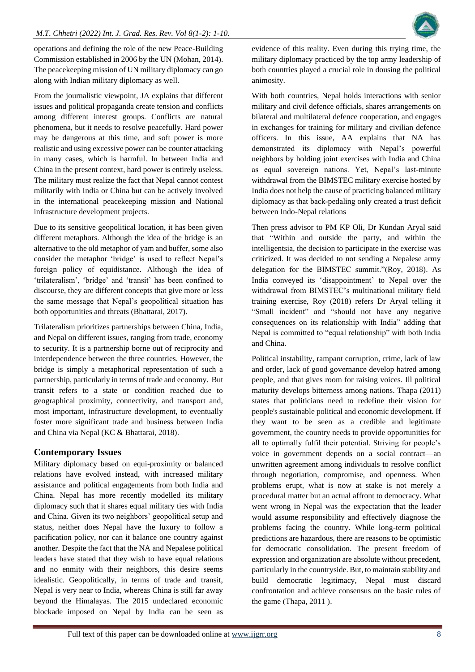

operations and defining the role of the new Peace-Building Commission established in 2006 by the UN (Mohan, 2014). The peacekeeping mission of UN military diplomacy can go along with Indian military diplomacy as well.

From the journalistic viewpoint, JA explains that different issues and political propaganda create tension and conflicts among different interest groups. Conflicts are natural phenomena, but it needs to resolve peacefully. Hard power may be dangerous at this time, and soft power is more realistic and using excessive power can be counter attacking in many cases, which is harmful. In between India and China in the present context, hard power is entirely useless. The military must realize the fact that Nepal cannot contest militarily with India or China but can be actively involved in the international peacekeeping mission and National infrastructure development projects.

Due to its sensitive geopolitical location, it has been given different metaphors. Although the idea of the bridge is an alternative to the old metaphor of yam and buffer, some also consider the metaphor 'bridge' is used to reflect Nepal's foreign policy of equidistance. Although the idea of 'trilateralism', 'bridge' and 'transit' has been confined to discourse, they are different concepts that give more or less the same message that Nepal's geopolitical situation has both opportunities and threats (Bhattarai, 2017).

Trilateralism prioritizes partnerships between China, India, and Nepal on different issues, ranging from trade, economy to security. It is a partnership borne out of reciprocity and interdependence between the three countries. However, the bridge is simply a metaphorical representation of such a partnership, particularly in terms of trade and economy. But transit refers to a state or condition reached due to geographical proximity, connectivity, and transport and, most important, infrastructure development, to eventually foster more significant trade and business between India and China via Nepal (KC & Bhattarai, 2018).

# **Contemporary Issues**

Military diplomacy based on equi-proximity or balanced relations have evolved instead, with increased military assistance and political engagements from both India and China. Nepal has more recently modelled its military diplomacy such that it shares equal military ties with India and China. Given its two neighbors' geopolitical setup and status, neither does Nepal have the luxury to follow a pacification policy, nor can it balance one country against another. Despite the fact that the NA and Nepalese political leaders have stated that they wish to have equal relations and no enmity with their neighbors, this desire seems idealistic. Geopolitically, in terms of trade and transit, Nepal is very near to India, whereas China is still far away beyond the Himalayas. The 2015 undeclared economic blockade imposed on Nepal by India can be seen as

evidence of this reality. Even during this trying time, the military diplomacy practiced by the top army leadership of both countries played a crucial role in dousing the political animosity.

With both countries, Nepal holds interactions with senior military and civil defence officials, shares arrangements on bilateral and multilateral defence cooperation, and engages in exchanges for training for military and civilian defence officers. In this issue, AA explains that NA has demonstrated its diplomacy with Nepal's powerful neighbors by holding joint exercises with India and China as equal sovereign nations. Yet, Nepal's last-minute withdrawal from the BIMSTEC military exercise hosted by India does not help the cause of practicing balanced military diplomacy as that back-pedaling only created a trust deficit between Indo-Nepal relations

Then press advisor to PM KP Oli, Dr Kundan Aryal said that "Within and outside the party, and within the intelligentsia, the decision to participate in the exercise was criticized. It was decided to not sending a Nepalese army delegation for the BIMSTEC summit."(Roy, 2018). As India conveyed its 'disappointment' to Nepal over the withdrawal from BIMSTEC's multinational military field training exercise, Roy (2018) refers Dr Aryal telling it "Small incident" and "should not have any negative consequences on its relationship with India" adding that Nepal is committed to "equal relationship" with both India and China.

Political instability, rampant corruption, crime, lack of law and order, lack of good governance develop hatred among people, and that gives room for raising voices. Ill political maturity develops bitterness among nations. Thapa (2011) states that politicians need to redefine their vision for people's sustainable political and economic development. If they want to be seen as a credible and legitimate government, the country needs to provide opportunities for all to optimally fulfil their potential. Striving for people's voice in government depends on a social contract—an unwritten agreement among individuals to resolve conflict through negotiation, compromise, and openness. When problems erupt, what is now at stake is not merely a procedural matter but an actual affront to democracy. What went wrong in Nepal was the expectation that the leader would assume responsibility and effectively diagnose the problems facing the country. While long-term political predictions are hazardous, there are reasons to be optimistic for democratic consolidation. The present freedom of expression and organization are absolute without precedent, particularly in the countryside. But, to maintain stability and build democratic legitimacy, Nepal must discard confrontation and achieve consensus on the basic rules of the game (Thapa, 2011 ).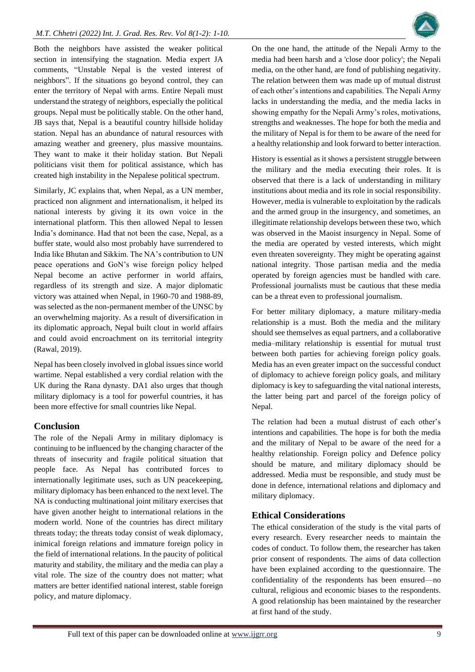Both the neighbors have assisted the weaker political section in intensifying the stagnation. Media expert JA comments, "Unstable Nepal is the vested interest of neighbors". If the situations go beyond control, they can enter the territory of Nepal with arms. Entire Nepali must understand the strategy of neighbors, especially the political groups. Nepal must be politically stable. On the other hand, JB says that, Nepal is a beautiful country hillside holiday station. Nepal has an abundance of natural resources with amazing weather and greenery, plus massive mountains. They want to make it their holiday station. But Nepali politicians visit them for political assistance, which has created high instability in the Nepalese political spectrum.

Similarly, JC explains that, when Nepal, as a UN member, practiced non alignment and internationalism, it helped its national interests by giving it its own voice in the international platform. This then allowed Nepal to lessen India's dominance. Had that not been the case, Nepal, as a buffer state, would also most probably have surrendered to India like Bhutan and Sikkim. The NA's contribution to UN peace operations and GoN's wise foreign policy helped Nepal become an active performer in world affairs, regardless of its strength and size. A major diplomatic victory was attained when Nepal, in 1960-70 and 1988-89, was selected as the non-permanent member of the UNSC by an overwhelming majority. As a result of diversification in its diplomatic approach, Nepal built clout in world affairs and could avoid encroachment on its territorial integrity (Rawal, 2019).

Nepal has been closely involved in global issues since world wartime. Nepal established a very cordial relation with the UK during the Rana dynasty. DA1 also urges that though military diplomacy is a tool for powerful countries, it has been more effective for small countries like Nepal.

# **Conclusion**

The role of the Nepali Army in military diplomacy is continuing to be influenced by the changing character of the threats of insecurity and fragile political situation that people face. As Nepal has contributed forces to internationally legitimate uses, such as UN peacekeeping, military diplomacy has been enhanced to the next level. The NA is conducting multinational joint military exercises that have given another height to international relations in the modern world. None of the countries has direct military threats today; the threats today consist of weak diplomacy, inimical foreign relations and immature foreign policy in the field of international relations. In the paucity of political maturity and stability, the military and the media can play a vital role. The size of the country does not matter; what matters are better identified national interest, stable foreign policy, and mature diplomacy.

On the one hand, the attitude of the Nepali Army to the media had been harsh and a 'close door policy'; the Nepali media, on the other hand, are fond of publishing negativity. The relation between them was made up of mutual distrust of each other's intentions and capabilities. The Nepali Army lacks in understanding the media, and the media lacks in showing empathy for the Nepali Army's roles, motivations, strengths and weaknesses. The hope for both the media and the military of Nepal is for them to be aware of the need for a healthy relationship and look forward to better interaction.

History is essential as it shows a persistent struggle between the military and the media executing their roles. It is observed that there is a lack of understanding in military institutions about media and its role in social responsibility. However, media is vulnerable to exploitation by the radicals and the armed group in the insurgency, and sometimes, an illegitimate relationship develops between these two, which was observed in the Maoist insurgency in Nepal. Some of the media are operated by vested interests, which might even threaten sovereignty. They might be operating against national integrity. Those partisan media and the media operated by foreign agencies must be handled with care. Professional journalists must be cautious that these media can be a threat even to professional journalism.

For better military diplomacy, a mature military-media relationship is a must. Both the media and the military should see themselves as equal partners, and a collaborative media–military relationship is essential for mutual trust between both parties for achieving foreign policy goals. Media has an even greater impact on the successful conduct of diplomacy to achieve foreign policy goals, and military diplomacy is key to safeguarding the vital national interests, the latter being part and parcel of the foreign policy of Nepal.

The relation had been a mutual distrust of each other's intentions and capabilities. The hope is for both the media and the military of Nepal to be aware of the need for a healthy relationship. Foreign policy and Defence policy should be mature, and military diplomacy should be addressed. Media must be responsible, and study must be done in defence, international relations and diplomacy and military diplomacy.

# **Ethical Considerations**

The ethical consideration of the study is the vital parts of every research. Every researcher needs to maintain the codes of conduct. To follow them, the researcher has taken prior consent of respondents. The aims of data collection have been explained according to the questionnaire. The confidentiality of the respondents has been ensured—no cultural, religious and economic biases to the respondents. A good relationship has been maintained by the researcher at first hand of the study.